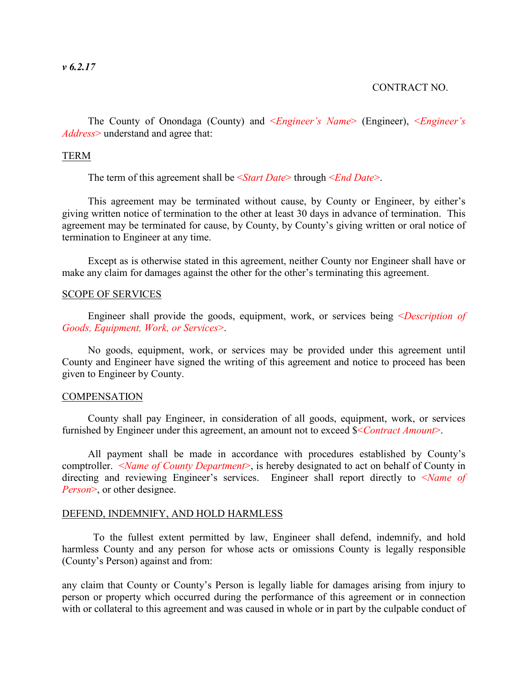## CONTRACT NO.

The County of Onondaga (County) and <*Engineer's Name*> (Engineer), <*Engineer's Address*> understand and agree that:

## TERM

The term of this agreement shall be <*Start Date*> through <*End Date*>.

This agreement may be terminated without cause, by County or Engineer, by either's giving written notice of termination to the other at least 30 days in advance of termination. This agreement may be terminated for cause, by County, by County's giving written or oral notice of termination to Engineer at any time.

Except as is otherwise stated in this agreement, neither County nor Engineer shall have or make any claim for damages against the other for the other's terminating this agreement.

## SCOPE OF SERVICES

Engineer shall provide the goods, equipment, work, or services being <*Description of Goods, Equipment, Work, or Services*>.

No goods, equipment, work, or services may be provided under this agreement until County and Engineer have signed the writing of this agreement and notice to proceed has been given to Engineer by County.

## **COMPENSATION**

County shall pay Engineer, in consideration of all goods, equipment, work, or services furnished by Engineer under this agreement, an amount not to exceed \$<*Contract Amount*>.

All payment shall be made in accordance with procedures established by County's comptroller. <*Name of County Department*>, is hereby designated to act on behalf of County in directing and reviewing Engineer's services. Engineer shall report directly to <*Name of Person*>, or other designee.

#### DEFEND, INDEMNIFY, AND HOLD HARMLESS

To the fullest extent permitted by law, Engineer shall defend, indemnify, and hold harmless County and any person for whose acts or omissions County is legally responsible (County's Person) against and from:

any claim that County or County's Person is legally liable for damages arising from injury to person or property which occurred during the performance of this agreement or in connection with or collateral to this agreement and was caused in whole or in part by the culpable conduct of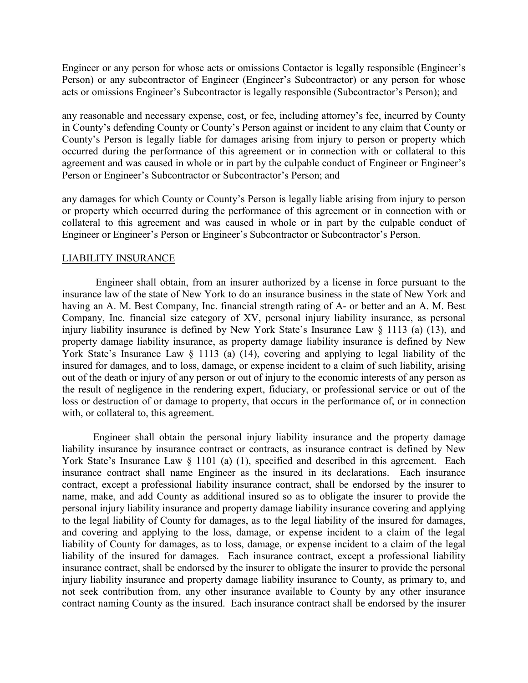Engineer or any person for whose acts or omissions Contactor is legally responsible (Engineer's Person) or any subcontractor of Engineer (Engineer's Subcontractor) or any person for whose acts or omissions Engineer's Subcontractor is legally responsible (Subcontractor's Person); and

any reasonable and necessary expense, cost, or fee, including attorney's fee, incurred by County in County's defending County or County's Person against or incident to any claim that County or County's Person is legally liable for damages arising from injury to person or property which occurred during the performance of this agreement or in connection with or collateral to this agreement and was caused in whole or in part by the culpable conduct of Engineer or Engineer's Person or Engineer's Subcontractor or Subcontractor's Person; and

any damages for which County or County's Person is legally liable arising from injury to person or property which occurred during the performance of this agreement or in connection with or collateral to this agreement and was caused in whole or in part by the culpable conduct of Engineer or Engineer's Person or Engineer's Subcontractor or Subcontractor's Person.

## LIABILITY INSURANCE

Engineer shall obtain, from an insurer authorized by a license in force pursuant to the insurance law of the state of New York to do an insurance business in the state of New York and having an A. M. Best Company, Inc. financial strength rating of A- or better and an A. M. Best Company, Inc. financial size category of XV, personal injury liability insurance, as personal injury liability insurance is defined by New York State's Insurance Law § 1113 (a) (13), and property damage liability insurance, as property damage liability insurance is defined by New York State's Insurance Law § 1113 (a) (14), covering and applying to legal liability of the insured for damages, and to loss, damage, or expense incident to a claim of such liability, arising out of the death or injury of any person or out of injury to the economic interests of any person as the result of negligence in the rendering expert, fiduciary, or professional service or out of the loss or destruction of or damage to property, that occurs in the performance of, or in connection with, or collateral to, this agreement.

Engineer shall obtain the personal injury liability insurance and the property damage liability insurance by insurance contract or contracts, as insurance contract is defined by New York State's Insurance Law § 1101 (a) (1), specified and described in this agreement. Each insurance contract shall name Engineer as the insured in its declarations. Each insurance contract, except a professional liability insurance contract, shall be endorsed by the insurer to name, make, and add County as additional insured so as to obligate the insurer to provide the personal injury liability insurance and property damage liability insurance covering and applying to the legal liability of County for damages, as to the legal liability of the insured for damages, and covering and applying to the loss, damage, or expense incident to a claim of the legal liability of County for damages, as to loss, damage, or expense incident to a claim of the legal liability of the insured for damages. Each insurance contract, except a professional liability insurance contract, shall be endorsed by the insurer to obligate the insurer to provide the personal injury liability insurance and property damage liability insurance to County, as primary to, and not seek contribution from, any other insurance available to County by any other insurance contract naming County as the insured. Each insurance contract shall be endorsed by the insurer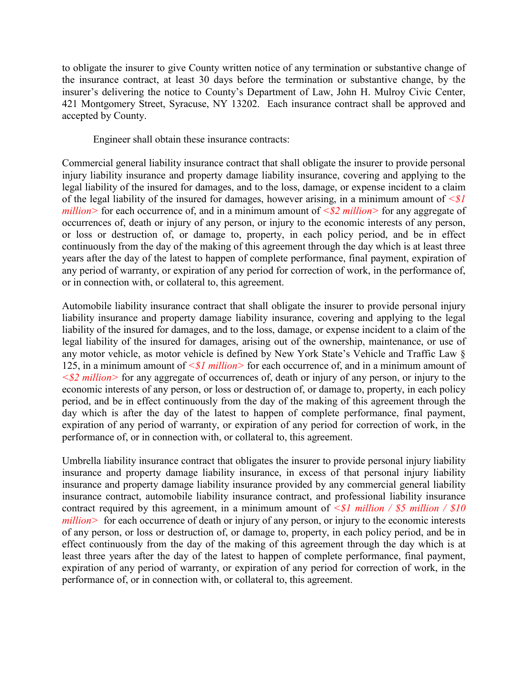to obligate the insurer to give County written notice of any termination or substantive change of the insurance contract, at least 30 days before the termination or substantive change, by the insurer's delivering the notice to County's Department of Law, John H. Mulroy Civic Center, 421 Montgomery Street, Syracuse, NY 13202. Each insurance contract shall be approved and accepted by County.

Engineer shall obtain these insurance contracts:

Commercial general liability insurance contract that shall obligate the insurer to provide personal injury liability insurance and property damage liability insurance, covering and applying to the legal liability of the insured for damages, and to the loss, damage, or expense incident to a claim of the legal liability of the insured for damages, however arising, in a minimum amount of *<\$1 million>* for each occurrence of, and in a minimum amount of  $\leq$  *\$2 million>* for any aggregate of occurrences of, death or injury of any person, or injury to the economic interests of any person, or loss or destruction of, or damage to, property, in each policy period, and be in effect continuously from the day of the making of this agreement through the day which is at least three years after the day of the latest to happen of complete performance, final payment, expiration of any period of warranty, or expiration of any period for correction of work, in the performance of, or in connection with, or collateral to, this agreement.

Automobile liability insurance contract that shall obligate the insurer to provide personal injury liability insurance and property damage liability insurance, covering and applying to the legal liability of the insured for damages, and to the loss, damage, or expense incident to a claim of the legal liability of the insured for damages, arising out of the ownership, maintenance, or use of any motor vehicle, as motor vehicle is defined by New York State's Vehicle and Traffic Law § 125, in a minimum amount of *<\$1 million>* for each occurrence of, and in a minimum amount of *<\$2 million>* for any aggregate of occurrences of, death or injury of any person, or injury to the economic interests of any person, or loss or destruction of, or damage to, property, in each policy period, and be in effect continuously from the day of the making of this agreement through the day which is after the day of the latest to happen of complete performance, final payment, expiration of any period of warranty, or expiration of any period for correction of work, in the performance of, or in connection with, or collateral to, this agreement.

Umbrella liability insurance contract that obligates the insurer to provide personal injury liability insurance and property damage liability insurance, in excess of that personal injury liability insurance and property damage liability insurance provided by any commercial general liability insurance contract, automobile liability insurance contract, and professional liability insurance contract required by this agreement, in a minimum amount of  $\leq$  *\$1 million / \$5 million / \$10 million* > for each occurrence of death or injury of any person, or injury to the economic interests of any person, or loss or destruction of, or damage to, property, in each policy period, and be in effect continuously from the day of the making of this agreement through the day which is at least three years after the day of the latest to happen of complete performance, final payment, expiration of any period of warranty, or expiration of any period for correction of work, in the performance of, or in connection with, or collateral to, this agreement.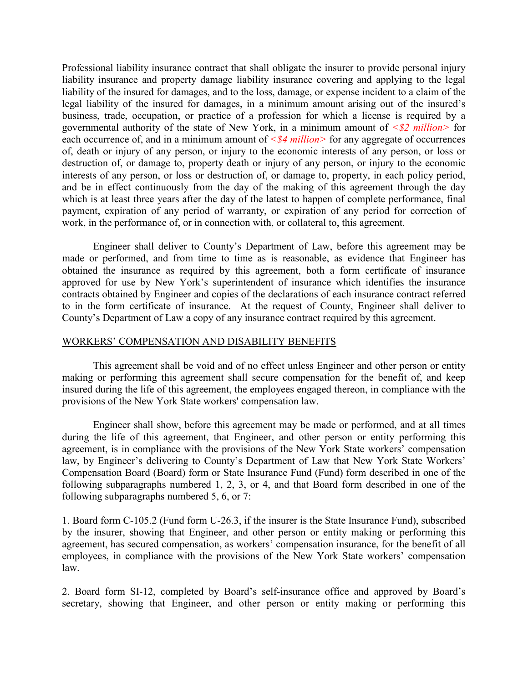Professional liability insurance contract that shall obligate the insurer to provide personal injury liability insurance and property damage liability insurance covering and applying to the legal liability of the insured for damages, and to the loss, damage, or expense incident to a claim of the legal liability of the insured for damages, in a minimum amount arising out of the insured's business, trade, occupation, or practice of a profession for which a license is required by a governmental authority of the state of New York, in a minimum amount of *<\$2 million>* for each occurrence of, and in a minimum amount of  $\leq$  84 million  $>$  for any aggregate of occurrences of, death or injury of any person, or injury to the economic interests of any person, or loss or destruction of, or damage to, property death or injury of any person, or injury to the economic interests of any person, or loss or destruction of, or damage to, property, in each policy period, and be in effect continuously from the day of the making of this agreement through the day which is at least three years after the day of the latest to happen of complete performance, final payment, expiration of any period of warranty, or expiration of any period for correction of work, in the performance of, or in connection with, or collateral to, this agreement.

Engineer shall deliver to County's Department of Law, before this agreement may be made or performed, and from time to time as is reasonable, as evidence that Engineer has obtained the insurance as required by this agreement, both a form certificate of insurance approved for use by New York's superintendent of insurance which identifies the insurance contracts obtained by Engineer and copies of the declarations of each insurance contract referred to in the form certificate of insurance. At the request of County, Engineer shall deliver to County's Department of Law a copy of any insurance contract required by this agreement.

# WORKERS' COMPENSATION AND DISABILITY BENEFITS

This agreement shall be void and of no effect unless Engineer and other person or entity making or performing this agreement shall secure compensation for the benefit of, and keep insured during the life of this agreement, the employees engaged thereon, in compliance with the provisions of the New York State workers' compensation law.

Engineer shall show, before this agreement may be made or performed, and at all times during the life of this agreement, that Engineer, and other person or entity performing this agreement, is in compliance with the provisions of the New York State workers' compensation law, by Engineer's delivering to County's Department of Law that New York State Workers' Compensation Board (Board) form or State Insurance Fund (Fund) form described in one of the following subparagraphs numbered 1, 2, 3, or 4, and that Board form described in one of the following subparagraphs numbered 5, 6, or 7:

1. Board form C-105.2 (Fund form U-26.3, if the insurer is the State Insurance Fund), subscribed by the insurer, showing that Engineer, and other person or entity making or performing this agreement, has secured compensation, as workers' compensation insurance, for the benefit of all employees, in compliance with the provisions of the New York State workers' compensation law.

2. Board form SI-12, completed by Board's self-insurance office and approved by Board's secretary, showing that Engineer, and other person or entity making or performing this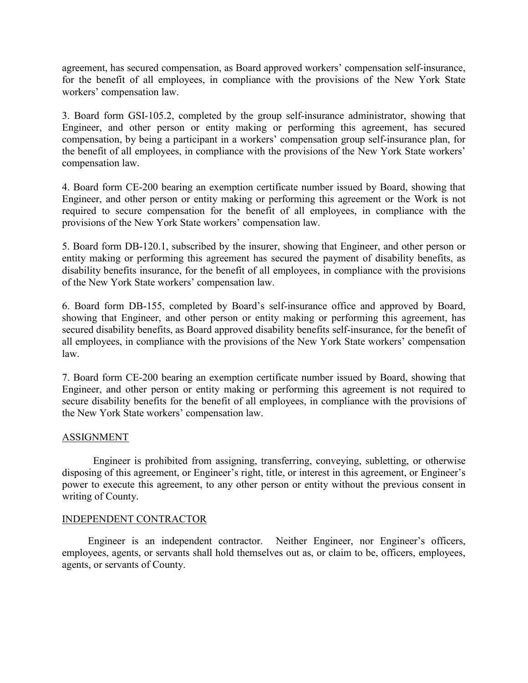agreement, has secured compensation, as Board approved workers' compensation self-insurance, for the benefit of all employees, in compliance with the provisions of the New York State workers' compensation law.

3. Board form GSI-105.2, completed by the group self-insurance administrator, showing that Engineer, and other person or entity making or performing this agreement, has secured compensation, by being a participant in a workers' compensation group self-insurance plan, for the benefit of all employees, in compliance with the provisions of the New York State workers' compensation law.

4. Board form CE-200 bearing an exemption certificate number issued by Board, showing that Engineer, and other person or entity making or performing this agreement or the Work is not required to secure compensation for the benefit of all employees, in compliance with the provisions of the New York State workers' compensation law.

5. Board form DB-120.1, subscribed by the insurer, showing that Engineer, and other person or entity making or performing this agreement has secured the payment of disability benefits, as disability benefits insurance, for the benefit of all employees, in compliance with the provisions of the New York State workers' compensation law.

6. Board form DB-155, completed by Board's self-insurance office and approved by Board, showing that Engineer, and other person or entity making or performing this agreement, has secured disability benefits, as Board approved disability benefits self-insurance, for the benefit of all employees, in compliance with the provisions of the New York State workers' compensation law.

7. Board form CE-200 bearing an exemption certificate number issued by Board, showing that Engineer, and other person or entity making or performing this agreement is not required to secure disability benefits for the benefit of all employees, in compliance with the provisions of the New York State workers' compensation law.

# ASSIGNMENT

Engineer is prohibited from assigning, transferring, conveying, subletting, or otherwise disposing of this agreement, or Engineer's right, title, or interest in this agreement, or Engineer's power to execute this agreement, to any other person or entity without the previous consent in writing of County.

# INDEPENDENT CONTRACTOR

Engineer is an independent contractor. Neither Engineer, nor Engineer's officers, employees, agents, or servants shall hold themselves out as, or claim to be, officers, employees, agents, or servants of County.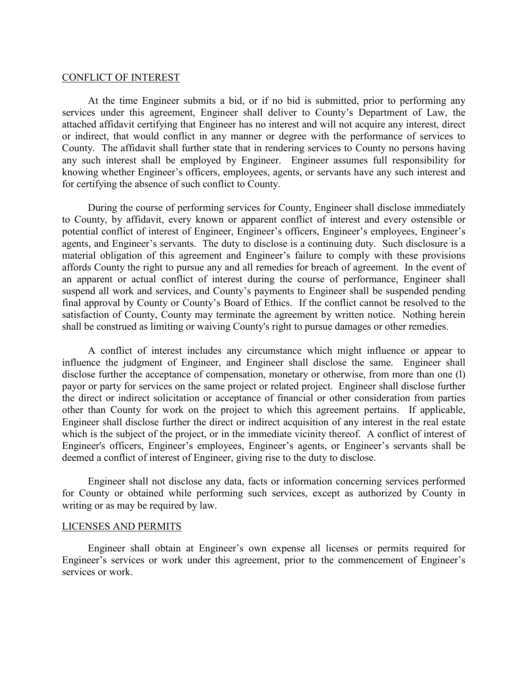#### CONFLICT OF INTEREST

At the time Engineer submits a bid, or if no bid is submitted, prior to performing any services under this agreement, Engineer shall deliver to County's Department of Law, the attached affidavit certifying that Engineer has no interest and will not acquire any interest, direct or indirect, that would conflict in any manner or degree with the performance of services to County. The affidavit shall further state that in rendering services to County no persons having any such interest shall be employed by Engineer. Engineer assumes full responsibility for knowing whether Engineer's officers, employees, agents, or servants have any such interest and for certifying the absence of such conflict to County.

During the course of performing services for County, Engineer shall disclose immediately to County, by affidavit, every known or apparent conflict of interest and every ostensible or potential conflict of interest of Engineer, Engineer's officers, Engineer's employees, Engineer's agents, and Engineer's servants. The duty to disclose is a continuing duty. Such disclosure is a material obligation of this agreement and Engineer's failure to comply with these provisions affords County the right to pursue any and all remedies for breach of agreement. In the event of an apparent or actual conflict of interest during the course of performance, Engineer shall suspend all work and services, and County's payments to Engineer shall be suspended pending final approval by County or County's Board of Ethics. If the conflict cannot be resolved to the satisfaction of County, County may terminate the agreement by written notice. Nothing herein shall be construed as limiting or waiving County's right to pursue damages or other remedies.

A conflict of interest includes any circumstance which might influence or appear to influence the judgment of Engineer, and Engineer shall disclose the same. Engineer shall disclose further the acceptance of compensation, monetary or otherwise, from more than one (l) payor or party for services on the same project or related project. Engineer shall disclose further the direct or indirect solicitation or acceptance of financial or other consideration from parties other than County for work on the project to which this agreement pertains. If applicable, Engineer shall disclose further the direct or indirect acquisition of any interest in the real estate which is the subject of the project, or in the immediate vicinity thereof. A conflict of interest of Engineer's officers, Engineer's employees, Engineer's agents, or Engineer's servants shall be deemed a conflict of interest of Engineer, giving rise to the duty to disclose.

Engineer shall not disclose any data, facts or information concerning services performed for County or obtained while performing such services, except as authorized by County in writing or as may be required by law.

#### LICENSES AND PERMITS

Engineer shall obtain at Engineer's own expense all licenses or permits required for Engineer's services or work under this agreement, prior to the commencement of Engineer's services or work.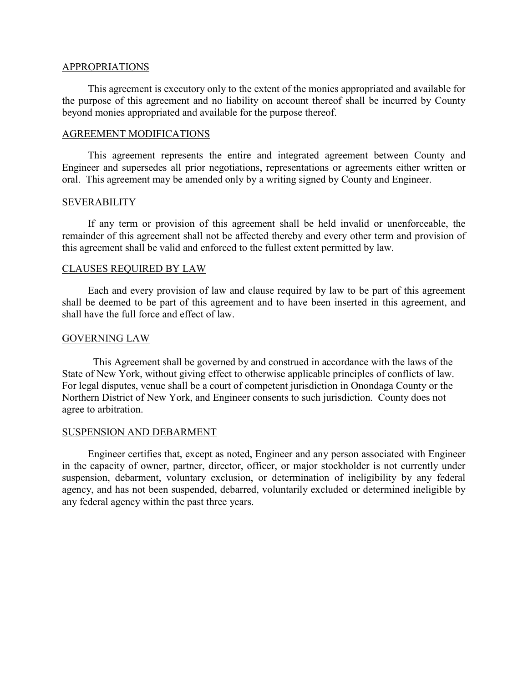## APPROPRIATIONS

This agreement is executory only to the extent of the monies appropriated and available for the purpose of this agreement and no liability on account thereof shall be incurred by County beyond monies appropriated and available for the purpose thereof.

## AGREEMENT MODIFICATIONS

This agreement represents the entire and integrated agreement between County and Engineer and supersedes all prior negotiations, representations or agreements either written or oral. This agreement may be amended only by a writing signed by County and Engineer.

#### **SEVERABILITY**

If any term or provision of this agreement shall be held invalid or unenforceable, the remainder of this agreement shall not be affected thereby and every other term and provision of this agreement shall be valid and enforced to the fullest extent permitted by law.

## CLAUSES REQUIRED BY LAW

Each and every provision of law and clause required by law to be part of this agreement shall be deemed to be part of this agreement and to have been inserted in this agreement, and shall have the full force and effect of law.

## GOVERNING LAW

This Agreement shall be governed by and construed in accordance with the laws of the State of New York, without giving effect to otherwise applicable principles of conflicts of law. For legal disputes, venue shall be a court of competent jurisdiction in Onondaga County or the Northern District of New York, and Engineer consents to such jurisdiction. County does not agree to arbitration.

#### SUSPENSION AND DEBARMENT

Engineer certifies that, except as noted, Engineer and any person associated with Engineer in the capacity of owner, partner, director, officer, or major stockholder is not currently under suspension, debarment, voluntary exclusion, or determination of ineligibility by any federal agency, and has not been suspended, debarred, voluntarily excluded or determined ineligible by any federal agency within the past three years.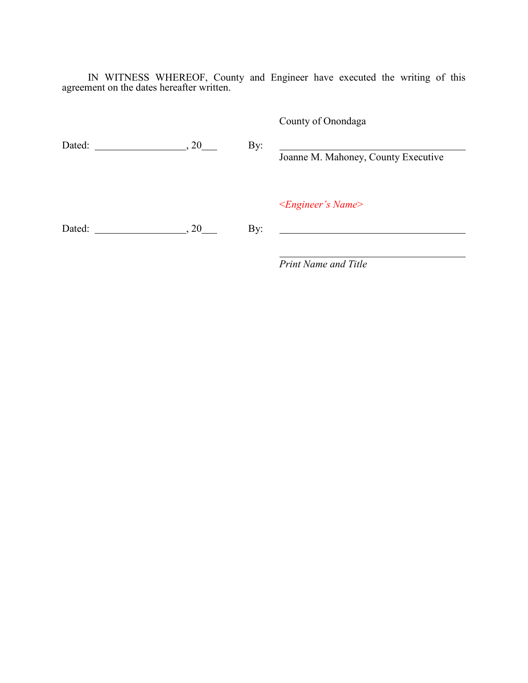IN WITNESS WHEREOF, County and Engineer have executed the writing of this agreement on the dates hereafter written.

Dated: , 20 By: Joanne M. Mahoney, County Executive <*Engineer's Name*> Dated:  $\qquad \qquad \qquad \qquad \qquad \qquad \text{By:}$ <u> 1989 - Johann Barn, mars eta bainar eta baina eta baina eta baina eta baina eta baina eta baina eta baina e</u>

*Print Name and Title*

County of Onondaga